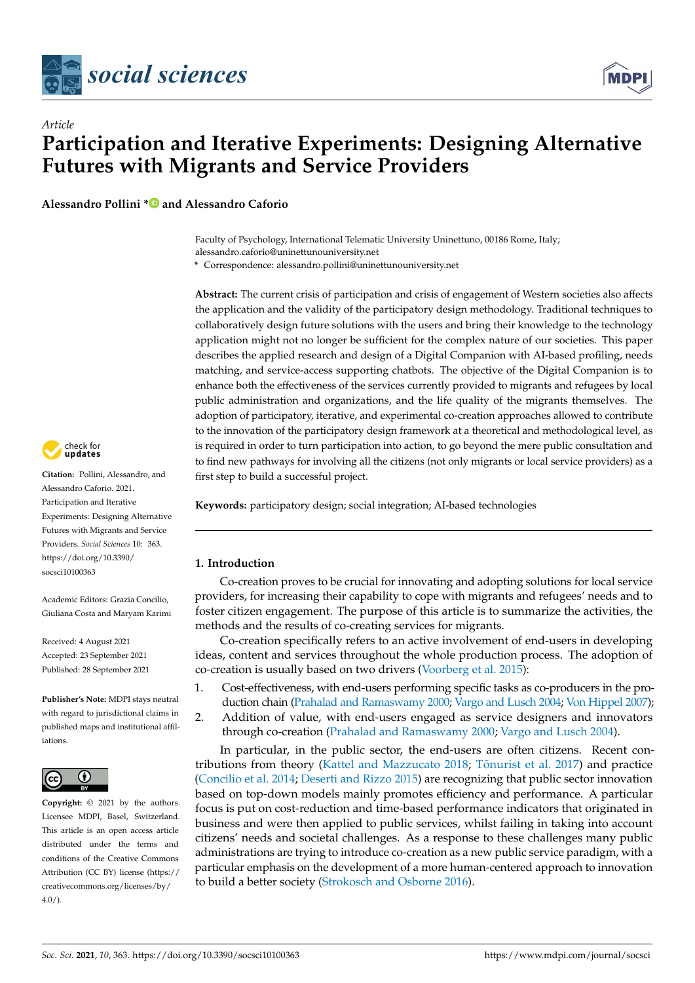



**Alessandro Pollini [\\*](https://orcid.org/0000-0001-8957-7866) and Alessandro Caforio**

Faculty of Psychology, International Telematic University Uninettuno, 00186 Rome, Italy; alessandro.caforio@uninettunouniversity.net

**\*** Correspondence: alessandro.pollini@uninettunouniversity.net

**Abstract:** The current crisis of participation and crisis of engagement of Western societies also affects the application and the validity of the participatory design methodology. Traditional techniques to collaboratively design future solutions with the users and bring their knowledge to the technology application might not no longer be sufficient for the complex nature of our societies. This paper describes the applied research and design of a Digital Companion with AI-based profiling, needs matching, and service-access supporting chatbots. The objective of the Digital Companion is to enhance both the effectiveness of the services currently provided to migrants and refugees by local public administration and organizations, and the life quality of the migrants themselves. The adoption of participatory, iterative, and experimental co-creation approaches allowed to contribute to the innovation of the participatory design framework at a theoretical and methodological level, as is required in order to turn participation into action, to go beyond the mere public consultation and to find new pathways for involving all the citizens (not only migrants or local service providers) as a first step to build a successful project.

**Keywords:** participatory design; social integration; AI-based technologies

## **1. Introduction**

Co-creation proves to be crucial for innovating and adopting solutions for local service providers, for increasing their capability to cope with migrants and refugees' needs and to foster citizen engagement. The purpose of this article is to summarize the activities, the methods and the results of co-creating services for migrants.

Co-creation specifically refers to an active involvement of end-users in developing ideas, content and services throughout the whole production process. The adoption of co-creation is usually based on two drivers [\(Voorberg et al.](#page-12-0) [2015\)](#page-12-0):

- 1. Cost-effectiveness, with end-users performing specific tasks as co-producers in the production chain [\(Prahalad and Ramaswamy](#page-12-1) [2000;](#page-12-1) [Vargo and Lusch](#page-12-2) [2004;](#page-12-2) [Von Hippel](#page-12-3) [2007\)](#page-12-3);
- 2. Addition of value, with end-users engaged as service designers and innovators through co-creation [\(Prahalad and Ramaswamy](#page-12-1) [2000;](#page-12-1) [Vargo and Lusch](#page-12-2) [2004\)](#page-12-2).

In particular, in the public sector, the end-users are often citizens. Recent contributions from theory [\(Kattel and Mazzucato](#page-11-0) [2018;](#page-11-0) Tõ[nurist et al.](#page-12-4) [2017\)](#page-12-4) and practice [\(Concilio et al.](#page-11-1) [2014;](#page-11-1) [Deserti and Rizzo](#page-11-2) [2015\)](#page-11-2) are recognizing that public sector innovation based on top-down models mainly promotes efficiency and performance. A particular focus is put on cost-reduction and time-based performance indicators that originated in business and were then applied to public services, whilst failing in taking into account citizens' needs and societal challenges. As a response to these challenges many public administrations are trying to introduce co-creation as a new public service paradigm, with a particular emphasis on the development of a more human-centered approach to innovation to build a better society [\(Strokosch and Osborne](#page-12-5) [2016\)](#page-12-5).



**Citation:** Pollini, Alessandro, and Alessandro Caforio. 2021. Participation and Iterative Experiments: Designing Alternative Futures with Migrants and Service Providers. *Social Sciences* 10: 363. [https://doi.org/10.3390/](https://doi.org/10.3390/socsci10100363) [socsci10100363](https://doi.org/10.3390/socsci10100363)

Academic Editors: Grazia Concilio, Giuliana Costa and Maryam Karimi

Received: 4 August 2021 Accepted: 23 September 2021 Published: 28 September 2021

**Publisher's Note:** MDPI stays neutral with regard to jurisdictional claims in published maps and institutional affiliations.



**Copyright:** © 2021 by the authors. Licensee MDPI, Basel, Switzerland. This article is an open access article distributed under the terms and conditions of the Creative Commons Attribution (CC BY) license (https:/[/](https://creativecommons.org/licenses/by/4.0/) [creativecommons.org/licenses/by/](https://creativecommons.org/licenses/by/4.0/)  $4.0/$ ).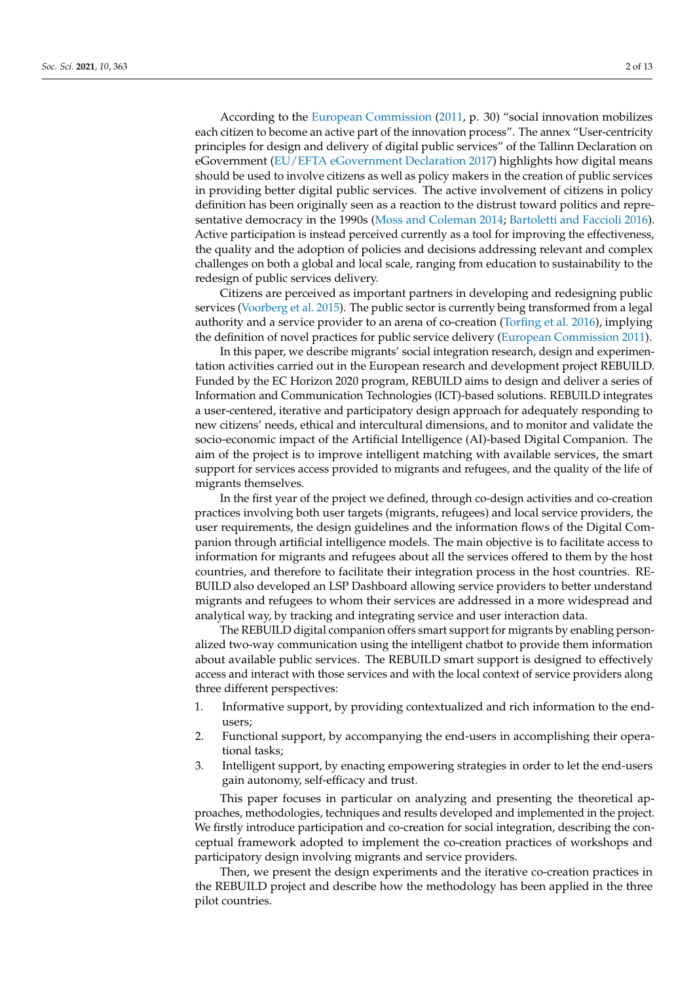According to the [European Commission](#page-11-3) [\(2011,](#page-11-3) p. 30) "social innovation mobilizes each citizen to become an active part of the innovation process". The annex "User-centricity principles for design and delivery of digital public services" of the Tallinn Declaration on eGovernment [\(EU/EFTA eGovernment Declaration](#page-11-4) [2017\)](#page-11-4) highlights how digital means should be used to involve citizens as well as policy makers in the creation of public services in providing better digital public services. The active involvement of citizens in policy definition has been originally seen as a reaction to the distrust toward politics and representative democracy in the 1990s [\(Moss and Coleman](#page-11-5) [2014;](#page-11-5) [Bartoletti and Faccioli](#page-11-6) [2016\)](#page-11-6). Active participation is instead perceived currently as a tool for improving the effectiveness, the quality and the adoption of policies and decisions addressing relevant and complex challenges on both a global and local scale, ranging from education to sustainability to the redesign of public services delivery.

Citizens are perceived as important partners in developing and redesigning public services [\(Voorberg et al.](#page-12-0) [2015\)](#page-12-0). The public sector is currently being transformed from a legal authority and a service provider to an arena of co-creation [\(Torfing et al.](#page-12-6) [2016\)](#page-12-6), implying the definition of novel practices for public service delivery [\(European Commission](#page-11-3) [2011\)](#page-11-3).

In this paper, we describe migrants' social integration research, design and experimentation activities carried out in the European research and development project REBUILD. Funded by the EC Horizon 2020 program, REBUILD aims to design and deliver a series of Information and Communication Technologies (ICT)-based solutions. REBUILD integrates a user-centered, iterative and participatory design approach for adequately responding to new citizens' needs, ethical and intercultural dimensions, and to monitor and validate the socio-economic impact of the Artificial Intelligence (AI)-based Digital Companion. The aim of the project is to improve intelligent matching with available services, the smart support for services access provided to migrants and refugees, and the quality of the life of migrants themselves.

In the first year of the project we defined, through co-design activities and co-creation practices involving both user targets (migrants, refugees) and local service providers, the user requirements, the design guidelines and the information flows of the Digital Companion through artificial intelligence models. The main objective is to facilitate access to information for migrants and refugees about all the services offered to them by the host countries, and therefore to facilitate their integration process in the host countries. RE-BUILD also developed an LSP Dashboard allowing service providers to better understand migrants and refugees to whom their services are addressed in a more widespread and analytical way, by tracking and integrating service and user interaction data.

The REBUILD digital companion offers smart support for migrants by enabling personalized two-way communication using the intelligent chatbot to provide them information about available public services. The REBUILD smart support is designed to effectively access and interact with those services and with the local context of service providers along three different perspectives:

- 1. Informative support, by providing contextualized and rich information to the endusers;
- 2. Functional support, by accompanying the end-users in accomplishing their operational tasks;
- 3. Intelligent support, by enacting empowering strategies in order to let the end-users gain autonomy, self-efficacy and trust.

This paper focuses in particular on analyzing and presenting the theoretical approaches, methodologies, techniques and results developed and implemented in the project. We firstly introduce participation and co-creation for social integration, describing the conceptual framework adopted to implement the co-creation practices of workshops and participatory design involving migrants and service providers.

Then, we present the design experiments and the iterative co-creation practices in the REBUILD project and describe how the methodology has been applied in the three pilot countries.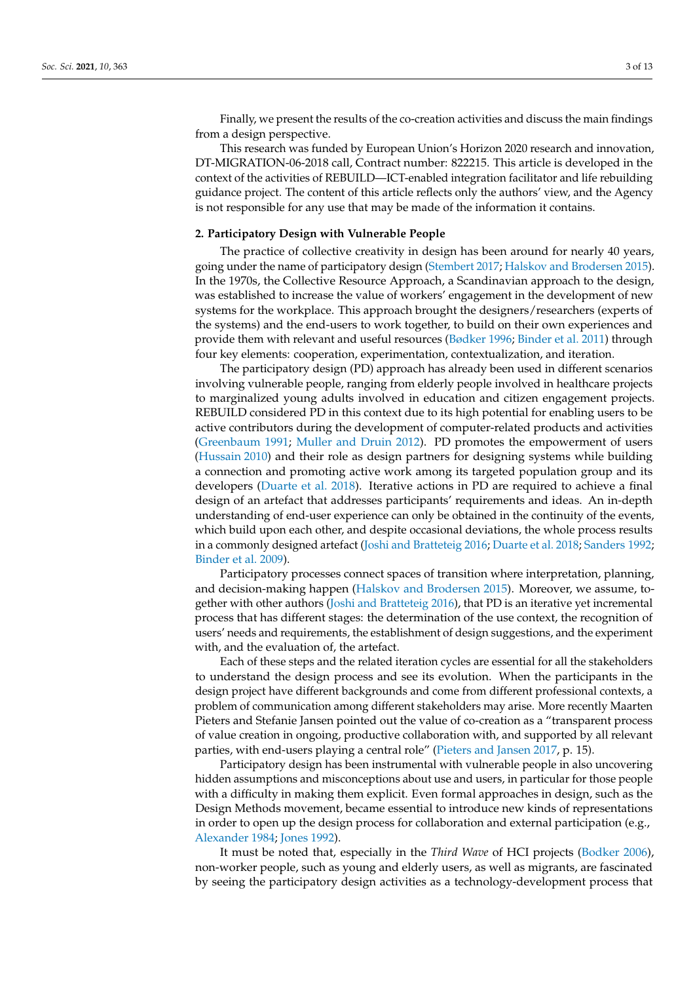Finally, we present the results of the co-creation activities and discuss the main findings from a design perspective.

This research was funded by European Union's Horizon 2020 research and innovation, DT-MIGRATION-06-2018 call, Contract number: 822215. This article is developed in the context of the activities of REBUILD—ICT-enabled integration facilitator and life rebuilding guidance project. The content of this article reflects only the authors' view, and the Agency is not responsible for any use that may be made of the information it contains.

#### **2. Participatory Design with Vulnerable People**

The practice of collective creativity in design has been around for nearly 40 years, going under the name of participatory design [\(Stembert](#page-12-7) [2017;](#page-12-7) [Halskov and Brodersen](#page-11-7) [2015\)](#page-11-7). In the 1970s, the Collective Resource Approach, a Scandinavian approach to the design, was established to increase the value of workers' engagement in the development of new systems for the workplace. This approach brought the designers/researchers (experts of the systems) and the end-users to work together, to build on their own experiences and provide them with relevant and useful resources [\(Bødker](#page-11-8) [1996;](#page-11-8) [Binder et al.](#page-11-9) [2011\)](#page-11-9) through four key elements: cooperation, experimentation, contextualization, and iteration.

The participatory design (PD) approach has already been used in different scenarios involving vulnerable people, ranging from elderly people involved in healthcare projects to marginalized young adults involved in education and citizen engagement projects. REBUILD considered PD in this context due to its high potential for enabling users to be active contributors during the development of computer-related products and activities [\(Greenbaum](#page-11-10) [1991;](#page-11-10) [Muller and Druin](#page-11-11) [2012\)](#page-11-11). PD promotes the empowerment of users [\(Hussain](#page-11-12) [2010\)](#page-11-12) and their role as design partners for designing systems while building a connection and promoting active work among its targeted population group and its developers [\(Duarte et al.](#page-11-13) [2018\)](#page-11-13). Iterative actions in PD are required to achieve a final design of an artefact that addresses participants' requirements and ideas. An in-depth understanding of end-user experience can only be obtained in the continuity of the events, which build upon each other, and despite occasional deviations, the whole process results in a commonly designed artefact [\(Joshi and Bratteteig](#page-11-14) [2016;](#page-11-14) [Duarte et al.](#page-11-13) [2018;](#page-11-13) [Sanders](#page-12-8) [1992;](#page-12-8) [Binder et al.](#page-11-15) [2009\)](#page-11-15).

Participatory processes connect spaces of transition where interpretation, planning, and decision-making happen [\(Halskov and Brodersen](#page-11-7) [2015\)](#page-11-7). Moreover, we assume, together with other authors [\(Joshi and Bratteteig](#page-11-14) [2016\)](#page-11-14), that PD is an iterative yet incremental process that has different stages: the determination of the use context, the recognition of users' needs and requirements, the establishment of design suggestions, and the experiment with, and the evaluation of, the artefact.

Each of these steps and the related iteration cycles are essential for all the stakeholders to understand the design process and see its evolution. When the participants in the design project have different backgrounds and come from different professional contexts, a problem of communication among different stakeholders may arise. More recently Maarten Pieters and Stefanie Jansen pointed out the value of co-creation as a "transparent process of value creation in ongoing, productive collaboration with, and supported by all relevant parties, with end-users playing a central role" [\(Pieters and Jansen](#page-11-16) [2017,](#page-11-16) p. 15).

Participatory design has been instrumental with vulnerable people in also uncovering hidden assumptions and misconceptions about use and users, in particular for those people with a difficulty in making them explicit. Even formal approaches in design, such as the Design Methods movement, became essential to introduce new kinds of representations in order to open up the design process for collaboration and external participation (e.g., [Alexander](#page-11-17) [1984;](#page-11-17) [Jones](#page-11-18) [1992\)](#page-11-18).

It must be noted that, especially in the *Third Wave* of HCI projects [\(Bodker](#page-11-19) [2006\)](#page-11-19), non-worker people, such as young and elderly users, as well as migrants, are fascinated by seeing the participatory design activities as a technology-development process that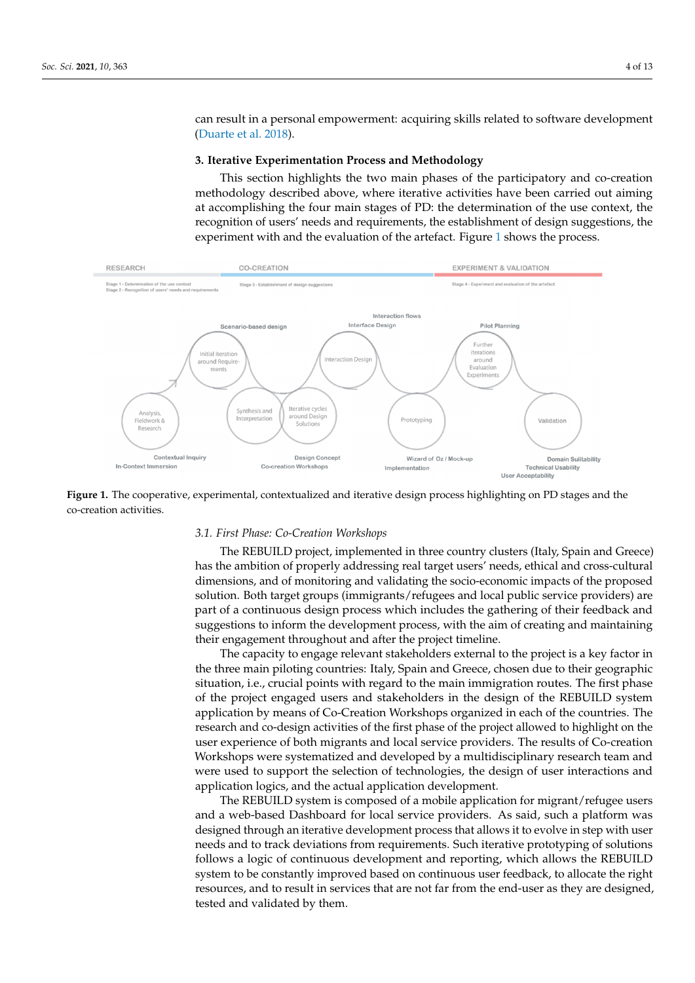can result in a personal empowerment: acquiring skills related to software development [\(Duarte et al.](#page-11-13) [2018\)](#page-11-13).

# 3. Iterative Experimentation Process and Methodology

This section highlights the two main phases of the participatory and co-creation methodology described above, where iterative activities have been carried out aiming at accomplishing the four main stages of PD: the determination of the use context, the recognition of users' needs and requirements, the establishment of design suggestions, the experiment with and the evaluation of the artefact. Figure [1](#page-3-0) shows the process.

<span id="page-3-0"></span>

**Figure 1. Figure 1. Figure 1. Figure 1. Figure 2. Figure 2. Figure 2. Figure 2. Figure 2. Figure 2. Figure 2. Figure 2. Figure 2. Figure 2. Figure 2. Figure 2. Figure 2. Figure 2. Figur Figure 1.** The cooperative, experimental, contextualized and iterative design process highlighting on PD stages and the

## *3.1. First Phase: Co-Creation Workshops*

3.1. *First Phase: Co-Creation Workshops*  The REBUILD project, implemented in three country clusters (Italy, Spain and Greece) has the ambition of properly addressing real target users' needs, ethical and cross-cultural dimensions, and of monitoring and validating the socio-economic impacts of the proposed solution. Both target groups (immigrants/refugees and local public service providers) are part of a continuous design process which includes the gathering of their feedback and suggestions to inform the development process, with the aim of creating and maintaining their engagement throughout and after the project timeline.

The capacity to engage relevant stakeholders external to the project is a key factor in the three main piloting countries: Italy, Spain and Greece, chosen due to their geographic situation, i.e., crucial points with regard to the main immigration routes. The first phase of the project engaged users and stakeholders in the design of the REBUILD system application by means of Co-Creation Workshops organized in each of the countries. The research and co-design activities of the first phase of the project allowed to highlight on the user experience of both migrants and local service providers. The results of Co-creation Workshops were systematized and developed by a multidisciplinary research team and were used to support the selection of technologies, the design of user interactions and application logics, and the actual application development.<br> $\overline{\phantom{a}}$ 

The REBUILD system is composed of a mobile application for migrant/refugee users and a web-based Dashboard for local service providers. As said, such a platform was designed through an iterative development process that allows it to evolve in step with user needs and to track deviations from requirements. Such iterative prototyping of solutions follows a logic of continuous development and reporting, which allows the REBUILD system to be constantly improved based on continuous user feedback, to allocate the right resources, and to result in services that are not far from the end-user as they are designed, tested and validated by them.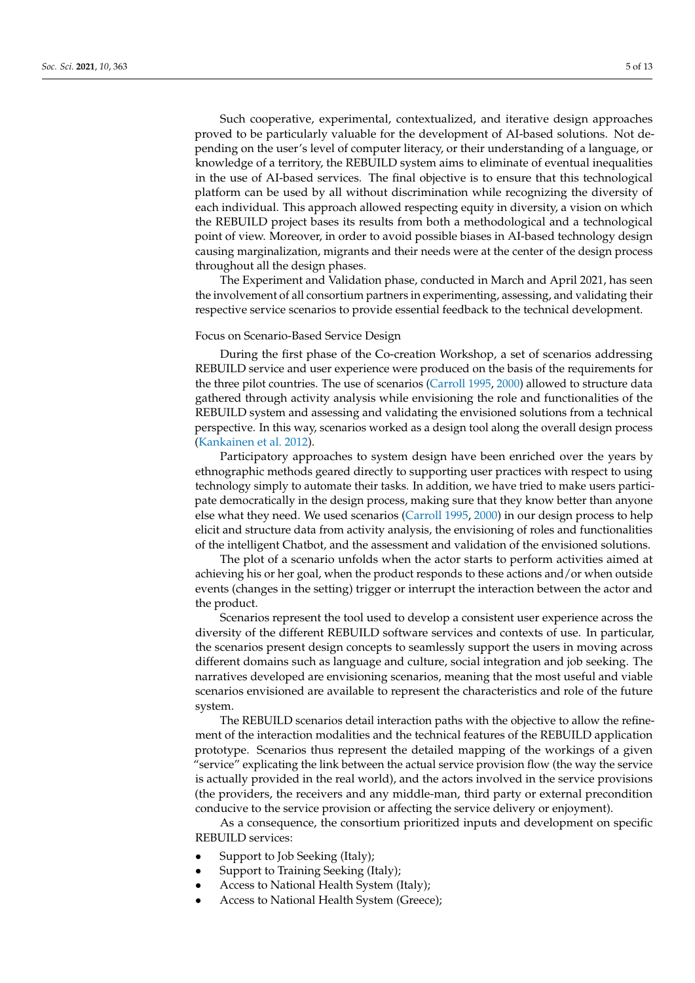Such cooperative, experimental, contextualized, and iterative design approaches proved to be particularly valuable for the development of AI-based solutions. Not depending on the user's level of computer literacy, or their understanding of a language, or knowledge of a territory, the REBUILD system aims to eliminate of eventual inequalities in the use of AI-based services. The final objective is to ensure that this technological platform can be used by all without discrimination while recognizing the diversity of each individual. This approach allowed respecting equity in diversity, a vision on which the REBUILD project bases its results from both a methodological and a technological point of view. Moreover, in order to avoid possible biases in AI-based technology design causing marginalization, migrants and their needs were at the center of the design process throughout all the design phases.

The Experiment and Validation phase, conducted in March and April 2021, has seen the involvement of all consortium partners in experimenting, assessing, and validating their respective service scenarios to provide essential feedback to the technical development.

#### Focus on Scenario-Based Service Design

During the first phase of the Co-creation Workshop, a set of scenarios addressing REBUILD service and user experience were produced on the basis of the requirements for the three pilot countries. The use of scenarios [\(Carroll](#page-11-20) [1995,](#page-11-20) [2000\)](#page-11-21) allowed to structure data gathered through activity analysis while envisioning the role and functionalities of the REBUILD system and assessing and validating the envisioned solutions from a technical perspective. In this way, scenarios worked as a design tool along the overall design process [\(Kankainen et al.](#page-11-22) [2012\)](#page-11-22).

Participatory approaches to system design have been enriched over the years by ethnographic methods geared directly to supporting user practices with respect to using technology simply to automate their tasks. In addition, we have tried to make users participate democratically in the design process, making sure that they know better than anyone else what they need. We used scenarios [\(Carroll](#page-11-20) [1995,](#page-11-20) [2000\)](#page-11-21) in our design process to help elicit and structure data from activity analysis, the envisioning of roles and functionalities of the intelligent Chatbot, and the assessment and validation of the envisioned solutions.

The plot of a scenario unfolds when the actor starts to perform activities aimed at achieving his or her goal, when the product responds to these actions and/or when outside events (changes in the setting) trigger or interrupt the interaction between the actor and the product.

Scenarios represent the tool used to develop a consistent user experience across the diversity of the different REBUILD software services and contexts of use. In particular, the scenarios present design concepts to seamlessly support the users in moving across different domains such as language and culture, social integration and job seeking. The narratives developed are envisioning scenarios, meaning that the most useful and viable scenarios envisioned are available to represent the characteristics and role of the future system.

The REBUILD scenarios detail interaction paths with the objective to allow the refinement of the interaction modalities and the technical features of the REBUILD application prototype. Scenarios thus represent the detailed mapping of the workings of a given "service" explicating the link between the actual service provision flow (the way the service is actually provided in the real world), and the actors involved in the service provisions (the providers, the receivers and any middle-man, third party or external precondition conducive to the service provision or affecting the service delivery or enjoyment).

As a consequence, the consortium prioritized inputs and development on specific REBUILD services:

- Support to Job Seeking (Italy);
- Support to Training Seeking (Italy);
- Access to National Health System (Italy);
- Access to National Health System (Greece);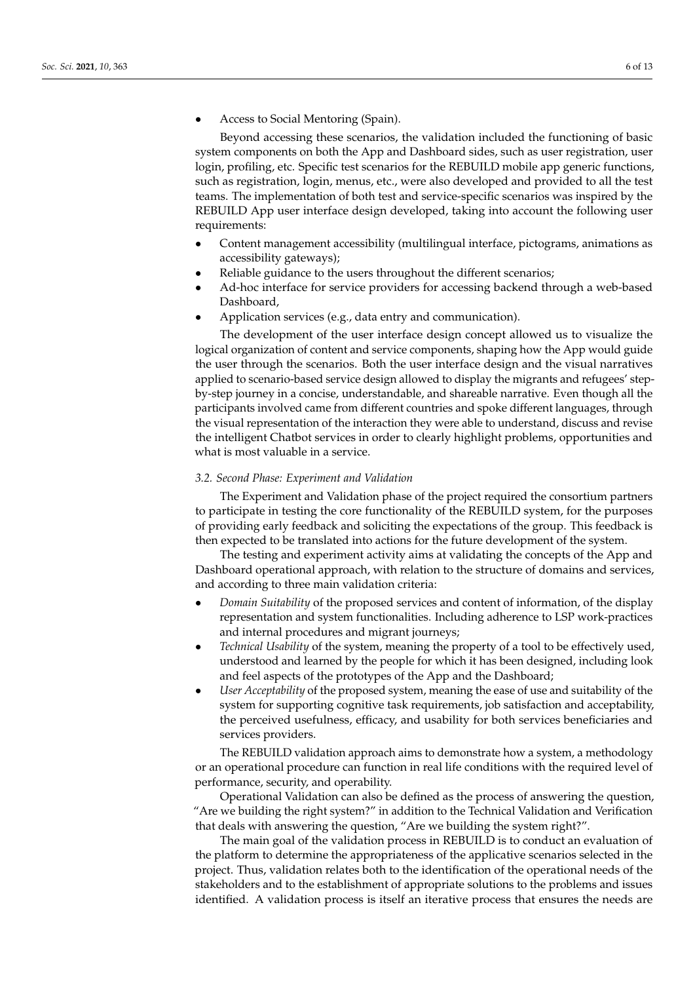• Access to Social Mentoring (Spain).

Beyond accessing these scenarios, the validation included the functioning of basic system components on both the App and Dashboard sides, such as user registration, user login, profiling, etc. Specific test scenarios for the REBUILD mobile app generic functions, such as registration, login, menus, etc., were also developed and provided to all the test teams. The implementation of both test and service-specific scenarios was inspired by the REBUILD App user interface design developed, taking into account the following user requirements:

- Content management accessibility (multilingual interface, pictograms, animations as accessibility gateways);
- Reliable guidance to the users throughout the different scenarios;
- Ad-hoc interface for service providers for accessing backend through a web-based Dashboard,
- Application services (e.g., data entry and communication).

The development of the user interface design concept allowed us to visualize the logical organization of content and service components, shaping how the App would guide the user through the scenarios. Both the user interface design and the visual narratives applied to scenario-based service design allowed to display the migrants and refugees' stepby-step journey in a concise, understandable, and shareable narrative. Even though all the participants involved came from different countries and spoke different languages, through the visual representation of the interaction they were able to understand, discuss and revise the intelligent Chatbot services in order to clearly highlight problems, opportunities and what is most valuable in a service.

## *3.2. Second Phase: Experiment and Validation*

The Experiment and Validation phase of the project required the consortium partners to participate in testing the core functionality of the REBUILD system, for the purposes of providing early feedback and soliciting the expectations of the group. This feedback is then expected to be translated into actions for the future development of the system.

The testing and experiment activity aims at validating the concepts of the App and Dashboard operational approach, with relation to the structure of domains and services, and according to three main validation criteria:

- *Domain Suitability* of the proposed services and content of information, of the display representation and system functionalities. Including adherence to LSP work-practices and internal procedures and migrant journeys;
- *Technical Usability* of the system, meaning the property of a tool to be effectively used, understood and learned by the people for which it has been designed, including look and feel aspects of the prototypes of the App and the Dashboard;
- *User Acceptability* of the proposed system, meaning the ease of use and suitability of the system for supporting cognitive task requirements, job satisfaction and acceptability, the perceived usefulness, efficacy, and usability for both services beneficiaries and services providers.

The REBUILD validation approach aims to demonstrate how a system, a methodology or an operational procedure can function in real life conditions with the required level of performance, security, and operability.

Operational Validation can also be defined as the process of answering the question, "Are we building the right system?" in addition to the Technical Validation and Verification that deals with answering the question, "Are we building the system right?".

The main goal of the validation process in REBUILD is to conduct an evaluation of the platform to determine the appropriateness of the applicative scenarios selected in the project. Thus, validation relates both to the identification of the operational needs of the stakeholders and to the establishment of appropriate solutions to the problems and issues identified. A validation process is itself an iterative process that ensures the needs are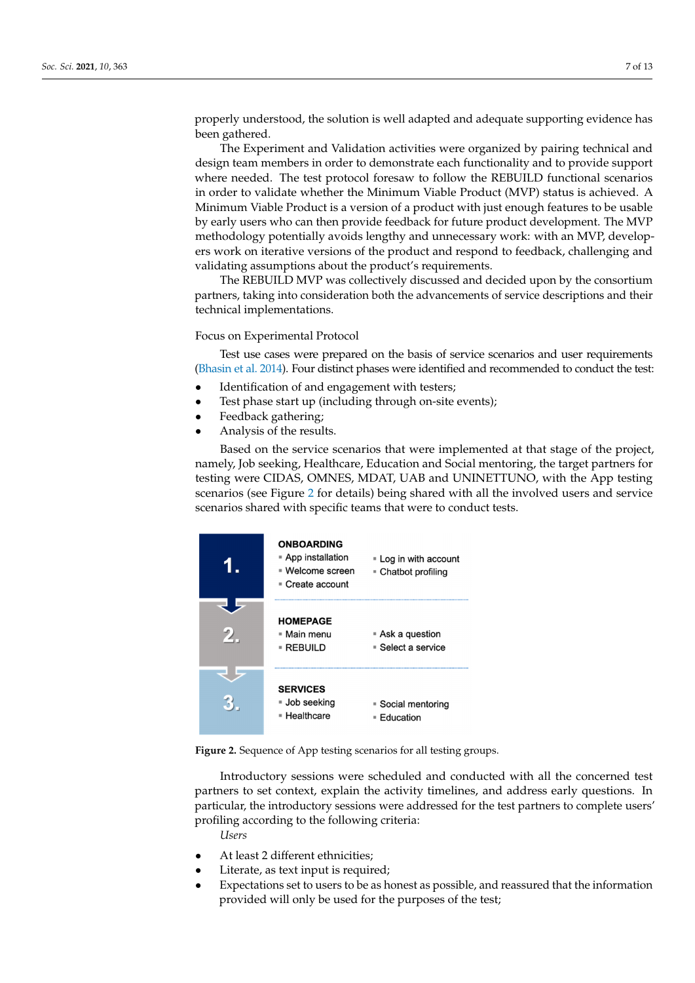properly understood, the solution is well adapted and adequate supporting evidence has been gathered.

The Experiment and Validation activities were organized by pairing technical and design team members in order to demonstrate each functionality and to provide support where needed. The test protocol foresaw to follow the REBUILD functional scenarios in order to validate whether the Minimum Viable Product (MVP) status is achieved. A Minimum Viable Product is a version of a product with just enough features to be usable by early users who can then provide feedback for future product development. The MVP methodology potentially avoids lengthy and unnecessary work: with an MVP, developers work on iterative versions of the product and respond to feedback, challenging and validating assumptions about the product's requirements.

The REBUILD MVP was collectively discussed and decided upon by the consortium partners, taking into consideration both the advancements of service descriptions and their technical implementations.

Focus on Experimental Protocol

Test use cases were prepared on the basis of service scenarios and user requirements [\(Bhasin et al.](#page-11-23) [2014\)](#page-11-23). Four distinct phases were identified and recommended to conduct the test:

- Identification of and engagement with testers;
- Test phase start up (including through on-site events);
- Feedback gathering;
- Analysis of the results.

Based on the service scenarios that were implemented at that stage of the project, namely, Job seeking, Healthcare, Education and Social mentoring, the target partners for testing were CIDAS, OMNES, MDAT, UAB and UNINETTUNO, with the App testing scenarios (see Figure 2 for details) being shared with all the involved users and service scenarios shared with specific teams that were to conduct tests.

<span id="page-6-0"></span>

|                            | <b>ONBOARDING</b><br>■ App installation<br>■ Welcome screen<br>■ Create account | . Log in with account<br>■ Chatbot profiling |
|----------------------------|---------------------------------------------------------------------------------|----------------------------------------------|
| $\mathcal{D}_{\mathbb{Z}}$ | <b>HOMEPAGE</b><br>■ Main menu<br>▪ REBUILD                                     | ■ Ask a question<br>■ Select a service       |
|                            | <b>SERVICES</b><br>■ Job seeking<br>■ Healthcare                                | ■ Social mentoring<br>Education              |

**Figure 2.** Sequence of App testing scenarios for all testing groups. **Figure 2.** Sequence of App testing scenarios for all testing groups.

Introductory sessions were scheduled and conducted with all the concerned test partners to set context, explain the activity timelines, and address early questions. In particular, the introductory sessions were addressed for the test partners to complete users' 1<br>profiling according to the following criteria: *Users Users*

• At least 2 different ethnicities; • At least 2 different ethnicities;

- In reast 2 amerent curricules,
- Expectations set to users to be as honest as possible, and reassured that the information mation provided will only be used for the purposes of the test; provided will only be used for the purposes of the test;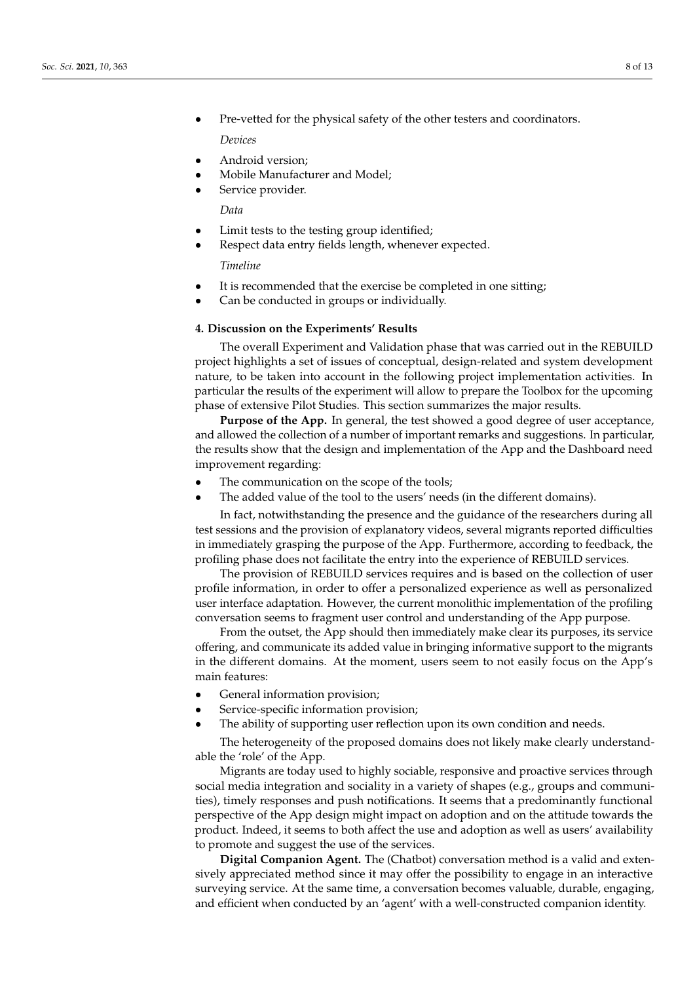- Pre-vetted for the physical safety of the other testers and coordinators. *Devices*
- Android version;
- Mobile Manufacturer and Model;
- Service provider.

*Data*

- Limit tests to the testing group identified;
- Respect data entry fields length, whenever expected.

*Timeline*

- It is recommended that the exercise be completed in one sitting;
- Can be conducted in groups or individually.

## **4. Discussion on the Experiments' Results**

The overall Experiment and Validation phase that was carried out in the REBUILD project highlights a set of issues of conceptual, design-related and system development nature, to be taken into account in the following project implementation activities. In particular the results of the experiment will allow to prepare the Toolbox for the upcoming phase of extensive Pilot Studies. This section summarizes the major results.

**Purpose of the App.** In general, the test showed a good degree of user acceptance, and allowed the collection of a number of important remarks and suggestions. In particular, the results show that the design and implementation of the App and the Dashboard need improvement regarding:

- The communication on the scope of the tools;
- The added value of the tool to the users' needs (in the different domains).

In fact, notwithstanding the presence and the guidance of the researchers during all test sessions and the provision of explanatory videos, several migrants reported difficulties in immediately grasping the purpose of the App. Furthermore, according to feedback, the profiling phase does not facilitate the entry into the experience of REBUILD services.

The provision of REBUILD services requires and is based on the collection of user profile information, in order to offer a personalized experience as well as personalized user interface adaptation. However, the current monolithic implementation of the profiling conversation seems to fragment user control and understanding of the App purpose.

From the outset, the App should then immediately make clear its purposes, its service offering, and communicate its added value in bringing informative support to the migrants in the different domains. At the moment, users seem to not easily focus on the App's main features:

- General information provision;
- Service-specific information provision;
- The ability of supporting user reflection upon its own condition and needs.

The heterogeneity of the proposed domains does not likely make clearly understandable the 'role' of the App.

Migrants are today used to highly sociable, responsive and proactive services through social media integration and sociality in a variety of shapes (e.g., groups and communities), timely responses and push notifications. It seems that a predominantly functional perspective of the App design might impact on adoption and on the attitude towards the product. Indeed, it seems to both affect the use and adoption as well as users' availability to promote and suggest the use of the services.

**Digital Companion Agent.** The (Chatbot) conversation method is a valid and extensively appreciated method since it may offer the possibility to engage in an interactive surveying service. At the same time, a conversation becomes valuable, durable, engaging, and efficient when conducted by an 'agent' with a well-constructed companion identity.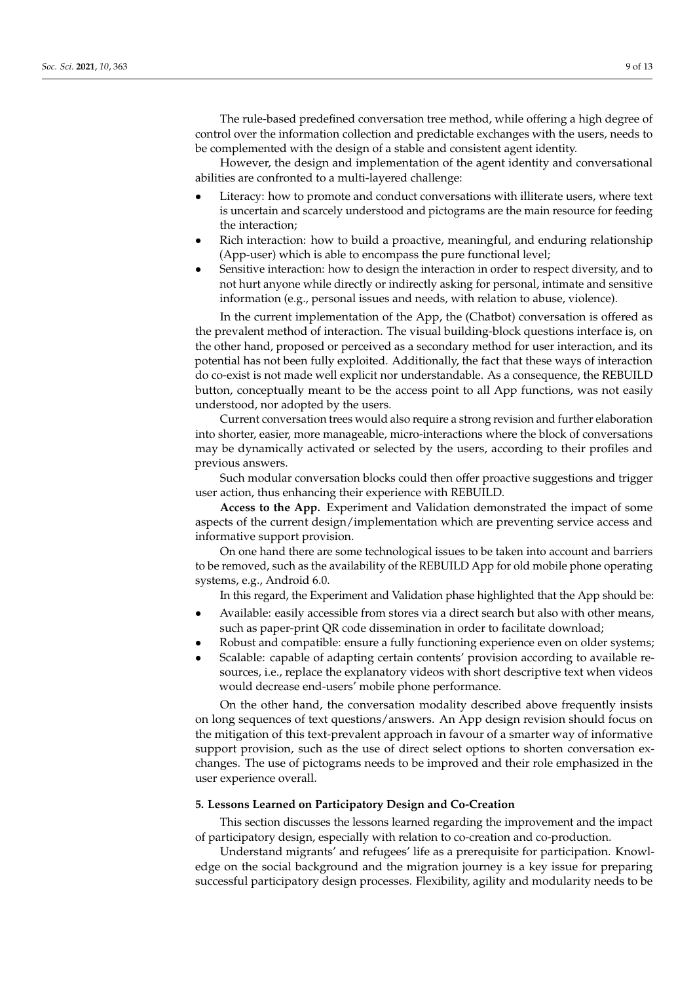The rule-based predefined conversation tree method, while offering a high degree of control over the information collection and predictable exchanges with the users, needs to be complemented with the design of a stable and consistent agent identity.

However, the design and implementation of the agent identity and conversational abilities are confronted to a multi-layered challenge:

- Literacy: how to promote and conduct conversations with illiterate users, where text is uncertain and scarcely understood and pictograms are the main resource for feeding the interaction;
- Rich interaction: how to build a proactive, meaningful, and enduring relationship (App-user) which is able to encompass the pure functional level;
- Sensitive interaction: how to design the interaction in order to respect diversity, and to not hurt anyone while directly or indirectly asking for personal, intimate and sensitive information (e.g., personal issues and needs, with relation to abuse, violence).

In the current implementation of the App, the (Chatbot) conversation is offered as the prevalent method of interaction. The visual building-block questions interface is, on the other hand, proposed or perceived as a secondary method for user interaction, and its potential has not been fully exploited. Additionally, the fact that these ways of interaction do co-exist is not made well explicit nor understandable. As a consequence, the REBUILD button, conceptually meant to be the access point to all App functions, was not easily understood, nor adopted by the users.

Current conversation trees would also require a strong revision and further elaboration into shorter, easier, more manageable, micro-interactions where the block of conversations may be dynamically activated or selected by the users, according to their profiles and previous answers.

Such modular conversation blocks could then offer proactive suggestions and trigger user action, thus enhancing their experience with REBUILD.

**Access to the App.** Experiment and Validation demonstrated the impact of some aspects of the current design/implementation which are preventing service access and informative support provision.

On one hand there are some technological issues to be taken into account and barriers to be removed, such as the availability of the REBUILD App for old mobile phone operating systems, e.g., Android 6.0.

In this regard, the Experiment and Validation phase highlighted that the App should be:

- Available: easily accessible from stores via a direct search but also with other means, such as paper-print QR code dissemination in order to facilitate download;
- Robust and compatible: ensure a fully functioning experience even on older systems;
- Scalable: capable of adapting certain contents' provision according to available resources, i.e., replace the explanatory videos with short descriptive text when videos would decrease end-users' mobile phone performance.

On the other hand, the conversation modality described above frequently insists on long sequences of text questions/answers. An App design revision should focus on the mitigation of this text-prevalent approach in favour of a smarter way of informative support provision, such as the use of direct select options to shorten conversation exchanges. The use of pictograms needs to be improved and their role emphasized in the user experience overall.

#### **5. Lessons Learned on Participatory Design and Co-Creation**

This section discusses the lessons learned regarding the improvement and the impact of participatory design, especially with relation to co-creation and co-production.

Understand migrants' and refugees' life as a prerequisite for participation. Knowledge on the social background and the migration journey is a key issue for preparing successful participatory design processes. Flexibility, agility and modularity needs to be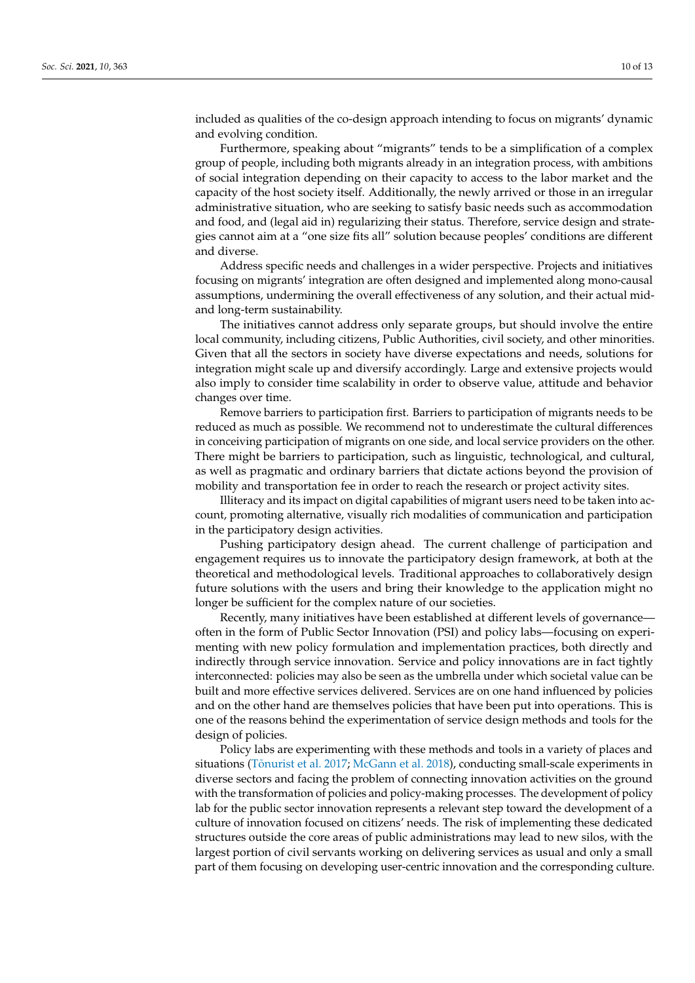included as qualities of the co-design approach intending to focus on migrants' dynamic and evolving condition.

Furthermore, speaking about "migrants" tends to be a simplification of a complex group of people, including both migrants already in an integration process, with ambitions of social integration depending on their capacity to access to the labor market and the capacity of the host society itself. Additionally, the newly arrived or those in an irregular administrative situation, who are seeking to satisfy basic needs such as accommodation and food, and (legal aid in) regularizing their status. Therefore, service design and strategies cannot aim at a "one size fits all" solution because peoples' conditions are different and diverse.

Address specific needs and challenges in a wider perspective. Projects and initiatives focusing on migrants' integration are often designed and implemented along mono-causal assumptions, undermining the overall effectiveness of any solution, and their actual midand long-term sustainability.

The initiatives cannot address only separate groups, but should involve the entire local community, including citizens, Public Authorities, civil society, and other minorities. Given that all the sectors in society have diverse expectations and needs, solutions for integration might scale up and diversify accordingly. Large and extensive projects would also imply to consider time scalability in order to observe value, attitude and behavior changes over time.

Remove barriers to participation first. Barriers to participation of migrants needs to be reduced as much as possible. We recommend not to underestimate the cultural differences in conceiving participation of migrants on one side, and local service providers on the other. There might be barriers to participation, such as linguistic, technological, and cultural, as well as pragmatic and ordinary barriers that dictate actions beyond the provision of mobility and transportation fee in order to reach the research or project activity sites.

Illiteracy and its impact on digital capabilities of migrant users need to be taken into account, promoting alternative, visually rich modalities of communication and participation in the participatory design activities.

Pushing participatory design ahead. The current challenge of participation and engagement requires us to innovate the participatory design framework, at both at the theoretical and methodological levels. Traditional approaches to collaboratively design future solutions with the users and bring their knowledge to the application might no longer be sufficient for the complex nature of our societies.

Recently, many initiatives have been established at different levels of governance often in the form of Public Sector Innovation (PSI) and policy labs—focusing on experimenting with new policy formulation and implementation practices, both directly and indirectly through service innovation. Service and policy innovations are in fact tightly interconnected: policies may also be seen as the umbrella under which societal value can be built and more effective services delivered. Services are on one hand influenced by policies and on the other hand are themselves policies that have been put into operations. This is one of the reasons behind the experimentation of service design methods and tools for the design of policies.

Policy labs are experimenting with these methods and tools in a variety of places and situations (Tõ[nurist et al.](#page-12-4) [2017;](#page-12-4) [McGann et al.](#page-11-24) [2018\)](#page-11-24), conducting small-scale experiments in diverse sectors and facing the problem of connecting innovation activities on the ground with the transformation of policies and policy-making processes. The development of policy lab for the public sector innovation represents a relevant step toward the development of a culture of innovation focused on citizens' needs. The risk of implementing these dedicated structures outside the core areas of public administrations may lead to new silos, with the largest portion of civil servants working on delivering services as usual and only a small part of them focusing on developing user-centric innovation and the corresponding culture.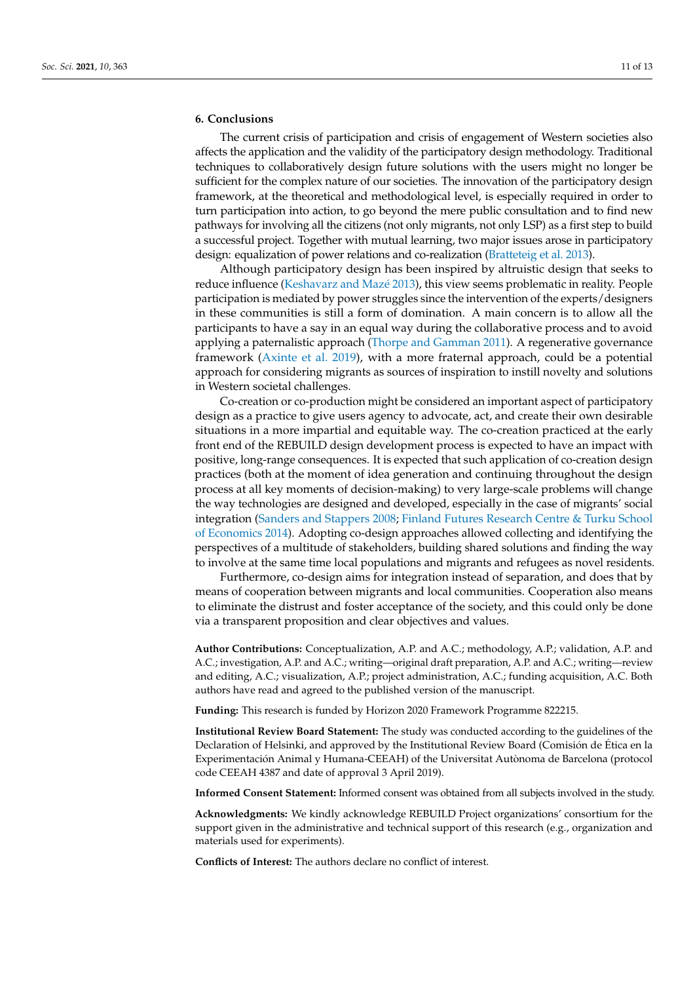# **6. Conclusions**

The current crisis of participation and crisis of engagement of Western societies also affects the application and the validity of the participatory design methodology. Traditional techniques to collaboratively design future solutions with the users might no longer be sufficient for the complex nature of our societies. The innovation of the participatory design framework, at the theoretical and methodological level, is especially required in order to turn participation into action, to go beyond the mere public consultation and to find new pathways for involving all the citizens (not only migrants, not only LSP) as a first step to build a successful project. Together with mutual learning, two major issues arose in participatory design: equalization of power relations and co-realization [\(Bratteteig et al.](#page-11-25) [2013\)](#page-11-25).

Although participatory design has been inspired by altruistic design that seeks to reduce influence [\(Keshavarz and Maz](#page-11-26)é [2013\)](#page-11-26), this view seems problematic in reality. People participation is mediated by power struggles since the intervention of the experts/designers in these communities is still a form of domination. A main concern is to allow all the participants to have a say in an equal way during the collaborative process and to avoid applying a paternalistic approach [\(Thorpe and Gamman](#page-12-9) [2011\)](#page-12-9). A regenerative governance framework [\(Axinte et al.](#page-11-27) [2019\)](#page-11-27), with a more fraternal approach, could be a potential approach for considering migrants as sources of inspiration to instill novelty and solutions in Western societal challenges.

Co-creation or co-production might be considered an important aspect of participatory design as a practice to give users agency to advocate, act, and create their own desirable situations in a more impartial and equitable way. The co-creation practiced at the early front end of the REBUILD design development process is expected to have an impact with positive, long-range consequences. It is expected that such application of co-creation design practices (both at the moment of idea generation and continuing throughout the design process at all key moments of decision-making) to very large-scale problems will change the way technologies are designed and developed, especially in the case of migrants' social integration [\(Sanders and Stappers](#page-12-10) [2008;](#page-12-10) [Finland Futures Research Centre & Turku School](#page-11-28) [of Economics](#page-11-28) [2014\)](#page-11-28). Adopting co-design approaches allowed collecting and identifying the perspectives of a multitude of stakeholders, building shared solutions and finding the way to involve at the same time local populations and migrants and refugees as novel residents.

Furthermore, co-design aims for integration instead of separation, and does that by means of cooperation between migrants and local communities. Cooperation also means to eliminate the distrust and foster acceptance of the society, and this could only be done via a transparent proposition and clear objectives and values.

**Author Contributions:** Conceptualization, A.P. and A.C.; methodology, A.P.; validation, A.P. and A.C.; investigation, A.P. and A.C.; writing—original draft preparation, A.P. and A.C.; writing—review and editing, A.C.; visualization, A.P.; project administration, A.C.; funding acquisition, A.C. Both authors have read and agreed to the published version of the manuscript.

**Funding:** This research is funded by Horizon 2020 Framework Programme 822215.

**Institutional Review Board Statement:** The study was conducted according to the guidelines of the Declaration of Helsinki, and approved by the Institutional Review Board (Comisión de Ética en la Experimentación Animal y Humana-CEEAH) of the Universitat Autònoma de Barcelona (protocol code CEEAH 4387 and date of approval 3 April 2019).

**Informed Consent Statement:** Informed consent was obtained from all subjects involved in the study.

**Acknowledgments:** We kindly acknowledge REBUILD Project organizations' consortium for the support given in the administrative and technical support of this research (e.g., organization and materials used for experiments).

**Conflicts of Interest:** The authors declare no conflict of interest.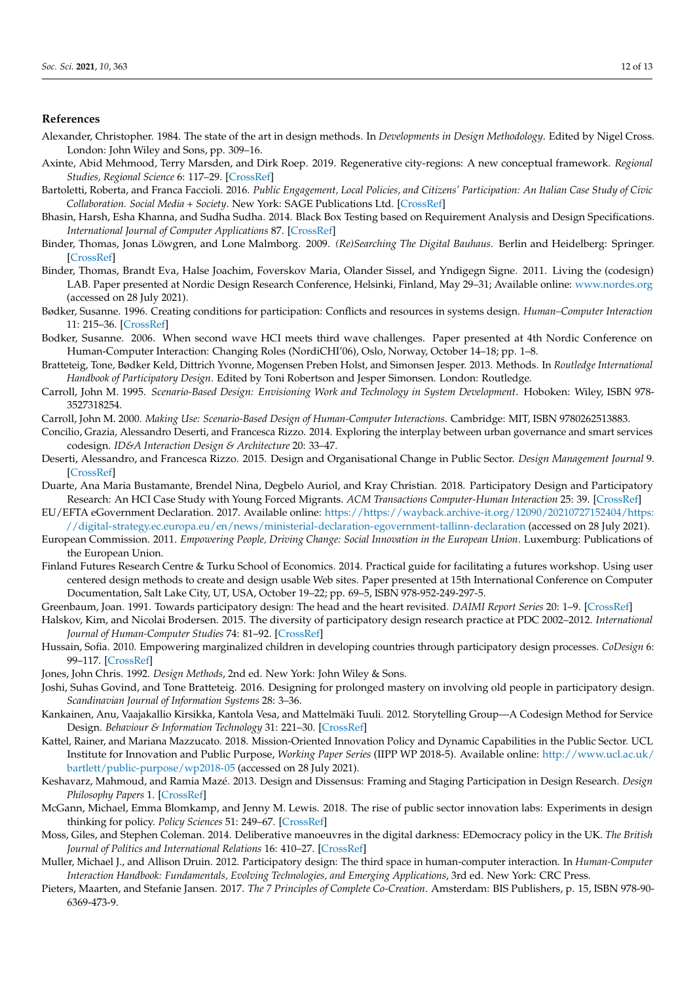## **References**

- <span id="page-11-17"></span>Alexander, Christopher. 1984. The state of the art in design methods. In *Developments in Design Methodology*. Edited by Nigel Cross. London: John Wiley and Sons, pp. 309–16.
- <span id="page-11-27"></span>Axinte, Abid Mehmood, Terry Marsden, and Dirk Roep. 2019. Regenerative city-regions: A new conceptual framework. *Regional Studies, Regional Science* 6: 117–29. [\[CrossRef\]](http://doi.org/10.1080/21681376.2019.1584542)
- <span id="page-11-6"></span>Bartoletti, Roberta, and Franca Faccioli. 2016. *Public Engagement, Local Policies, and Citizens' Participation: An Italian Case Study of Civic Collaboration. Social Media + Society*. New York: SAGE Publications Ltd. [\[CrossRef\]](http://doi.org/10.1177/2056305116662187)
- <span id="page-11-23"></span>Bhasin, Harsh, Esha Khanna, and Sudha Sudha. 2014. Black Box Testing based on Requirement Analysis and Design Specifications. *International Journal of Computer Applications* 87. [\[CrossRef\]](http://doi.org/10.5120/15311-4024)
- <span id="page-11-15"></span>Binder, Thomas, Jonas Löwgren, and Lone Malmborg. 2009. *(Re)Searching The Digital Bauhaus*. Berlin and Heidelberg: Springer. [\[CrossRef\]](http://doi.org/10.1007/978-1-84800-350-7)
- <span id="page-11-9"></span>Binder, Thomas, Brandt Eva, Halse Joachim, Foverskov Maria, Olander Sissel, and Yndigegn Signe. 2011. Living the (codesign) LAB. Paper presented at Nordic Design Research Conference, Helsinki, Finland, May 29–31; Available online: <www.nordes.org> (accessed on 28 July 2021).
- <span id="page-11-8"></span>Bødker, Susanne. 1996. Creating conditions for participation: Conflicts and resources in systems design. *Human–Computer Interaction* 11: 215–36. [\[CrossRef\]](http://doi.org/10.1207/s15327051hci1103_2)
- <span id="page-11-19"></span>Bodker, Susanne. 2006. When second wave HCI meets third wave challenges. Paper presented at 4th Nordic Conference on Human-Computer Interaction: Changing Roles (NordiCHI'06), Oslo, Norway, October 14–18; pp. 1–8.
- <span id="page-11-25"></span>Bratteteig, Tone, Bødker Keld, Dittrich Yvonne, Mogensen Preben Holst, and Simonsen Jesper. 2013. Methods. In *Routledge International Handbook of Participatory Design*. Edited by Toni Robertson and Jesper Simonsen. London: Routledge.
- <span id="page-11-20"></span>Carroll, John M. 1995. *Scenario-Based Design: Envisioning Work and Technology in System Development*. Hoboken: Wiley, ISBN 978- 3527318254.
- <span id="page-11-21"></span>Carroll, John M. 2000. *Making Use: Scenario-Based Design of Human-Computer Interactions*. Cambridge: MIT, ISBN 9780262513883.
- <span id="page-11-1"></span>Concilio, Grazia, Alessandro Deserti, and Francesca Rizzo. 2014. Exploring the interplay between urban governance and smart services codesign. *ID&A Interaction Design & Architecture* 20: 33–47.
- <span id="page-11-2"></span>Deserti, Alessandro, and Francesca Rizzo. 2015. Design and Organisational Change in Public Sector. *Design Management Journal* 9. [\[CrossRef\]](http://doi.org/10.1111/dmj.12013)
- <span id="page-11-13"></span>Duarte, Ana Maria Bustamante, Brendel Nina, Degbelo Auriol, and Kray Christian. 2018. Participatory Design and Participatory Research: An HCI Case Study with Young Forced Migrants. *ACM Transactions Computer-Human Interaction* 25: 39. [\[CrossRef\]](http://doi.org/10.1145/3145472)
- <span id="page-11-4"></span>EU/EFTA eGovernment Declaration. 2017. Available online: [https://https://wayback.archive-it.org/12090/20210727152404/https:](https://https://wayback.archive-it.org/12090/20210727152404/https://digital-strategy.ec.europa.eu/en/news/ministerial-declaration-egovernment-tallinn-declaration) [//digital-strategy.ec.europa.eu/en/news/ministerial-declaration-egovernment-tallinn-declaration](https://https://wayback.archive-it.org/12090/20210727152404/https://digital-strategy.ec.europa.eu/en/news/ministerial-declaration-egovernment-tallinn-declaration) (accessed on 28 July 2021).
- <span id="page-11-3"></span>European Commission. 2011. *Empowering People, Driving Change: Social Innovation in the European Union*. Luxemburg: Publications of the European Union.
- <span id="page-11-28"></span>Finland Futures Research Centre & Turku School of Economics. 2014. Practical guide for facilitating a futures workshop. Using user centered design methods to create and design usable Web sites. Paper presented at 15th International Conference on Computer Documentation, Salt Lake City, UT, USA, October 19–22; pp. 69–5, ISBN 978-952-249-297-5.
- <span id="page-11-10"></span>Greenbaum, Joan. 1991. Towards participatory design: The head and the heart revisited. *DAIMI Report Series* 20: 1–9. [\[CrossRef\]](http://doi.org/10.7146/dpb.v20i374.6606)
- <span id="page-11-7"></span>Halskov, Kim, and Nicolai Brodersen. 2015. The diversity of participatory design research practice at PDC 2002–2012. *International Journal of Human-Computer Studies* 74: 81–92. [\[CrossRef\]](http://doi.org/10.1016/j.ijhcs.2014.09.003)
- <span id="page-11-12"></span>Hussain, Sofia. 2010. Empowering marginalized children in developing countries through participatory design processes. *CoDesign* 6: 99–117. [\[CrossRef\]](http://doi.org/10.1080/15710882.2010.499467)
- <span id="page-11-18"></span>Jones, John Chris. 1992. *Design Methods*, 2nd ed. New York: John Wiley & Sons.
- <span id="page-11-14"></span>Joshi, Suhas Govind, and Tone Bratteteig. 2016. Designing for prolonged mastery on involving old people in participatory design. *Scandinavian Journal of Information Systems* 28: 3–36.
- <span id="page-11-22"></span>Kankainen, Anu, Vaajakallio Kirsikka, Kantola Vesa, and Mattelmäki Tuuli. 2012. Storytelling Group—A Codesign Method for Service Design. *Behaviour & Information Technology* 31: 221–30. [\[CrossRef\]](http://doi.org/10.1080/0144929X.2011.563794)
- <span id="page-11-0"></span>Kattel, Rainer, and Mariana Mazzucato. 2018. Mission-Oriented Innovation Policy and Dynamic Capabilities in the Public Sector. UCL Institute for Innovation and Public Purpose, *Working Paper Series* (IIPP WP 2018-5). Available online: [http://www.ucl.ac.uk/](http://www.ucl.ac.uk/bartlett/public-purpose/wp2018-05) [bartlett/public-purpose/wp2018-05](http://www.ucl.ac.uk/bartlett/public-purpose/wp2018-05) (accessed on 28 July 2021).
- <span id="page-11-26"></span>Keshavarz, Mahmoud, and Ramia Mazé. 2013. Design and Dissensus: Framing and Staging Participation in Design Research. *Design Philosophy Papers* 1. [\[CrossRef\]](http://doi.org/10.2752/089279313X13968799815994)
- <span id="page-11-24"></span>McGann, Michael, Emma Blomkamp, and Jenny M. Lewis. 2018. The rise of public sector innovation labs: Experiments in design thinking for policy. *Policy Sciences* 51: 249–67. [\[CrossRef\]](http://doi.org/10.1007/s11077-018-9315-7)
- <span id="page-11-5"></span>Moss, Giles, and Stephen Coleman. 2014. Deliberative manoeuvres in the digital darkness: EDemocracy policy in the UK. *The British Journal of Politics and International Relations* 16: 410–27. [\[CrossRef\]](http://doi.org/10.1111/1467-856X.12004)
- <span id="page-11-11"></span>Muller, Michael J., and Allison Druin. 2012. Participatory design: The third space in human-computer interaction. In *Human-Computer Interaction Handbook: Fundamentals, Evolving Technologies, and Emerging Applications*, 3rd ed. New York: CRC Press.
- <span id="page-11-16"></span>Pieters, Maarten, and Stefanie Jansen. 2017. *The 7 Principles of Complete Co-Creation*. Amsterdam: BIS Publishers, p. 15, ISBN 978-90- 6369-473-9.